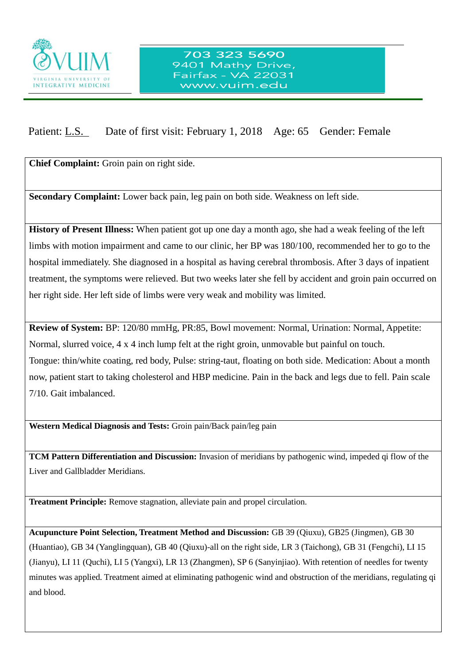

## 703 323 5690 9401 Mathy Drive, Fairfax - VA 22031 www.vuim.edu

## Patient: L.S. Date of first visit: February 1, 2018 Age: 65 Gender: Female

**Chief Complaint:** Groin pain on right side.

 $\overline{a}$ 

**Secondary Complaint:** Lower back pain, leg pain on both side. Weakness on left side.

**History of Present Illness:** When patient got up one day a month ago, she had a weak feeling of the left limbs with motion impairment and came to our clinic, her BP was 180/100, recommended her to go to the hospital immediately. She diagnosed in a hospital as having cerebral thrombosis. After 3 days of inpatient treatment, the symptoms were relieved. But two weeks later she fell by accident and groin pain occurred on her right side. Her left side of limbs were very weak and mobility was limited.

**Review of System:** BP: 120/80 mmHg, PR:85, Bowl movement: Normal, Urination: Normal, Appetite: Normal, slurred voice, 4 x 4 inch lump felt at the right groin, unmovable but painful on touch. Tongue: thin/white coating, red body, Pulse: string-taut, floating on both side. Medication: About a month now, patient start to taking cholesterol and HBP medicine. Pain in the back and legs due to fell. Pain scale 7/10. Gait imbalanced.

**Western Medical Diagnosis and Tests:** Groin pain/Back pain/leg pain

**TCM Pattern Differentiation and Discussion:** Invasion of meridians by pathogenic wind, impeded qi flow of the Liver and Gallbladder Meridians.

**Treatment Principle:** Remove stagnation, alleviate pain and propel circulation.

**Acupuncture Point Selection, Treatment Method and Discussion:** GB 39 (Qiuxu), GB25 (Jingmen), GB 30 (Huantiao), GB 34 (Yanglingquan), GB 40 (Qiuxu)-all on the right side, LR 3 (Taichong), GB 31 (Fengchi), LI 15 (Jianyu), LI 11 (Quchi), LI 5 (Yangxi), LR 13 (Zhangmen), SP 6 (Sanyinjiao). With retention of needles for twenty minutes was applied. Treatment aimed at eliminating pathogenic wind and obstruction of the meridians, regulating qi and blood.